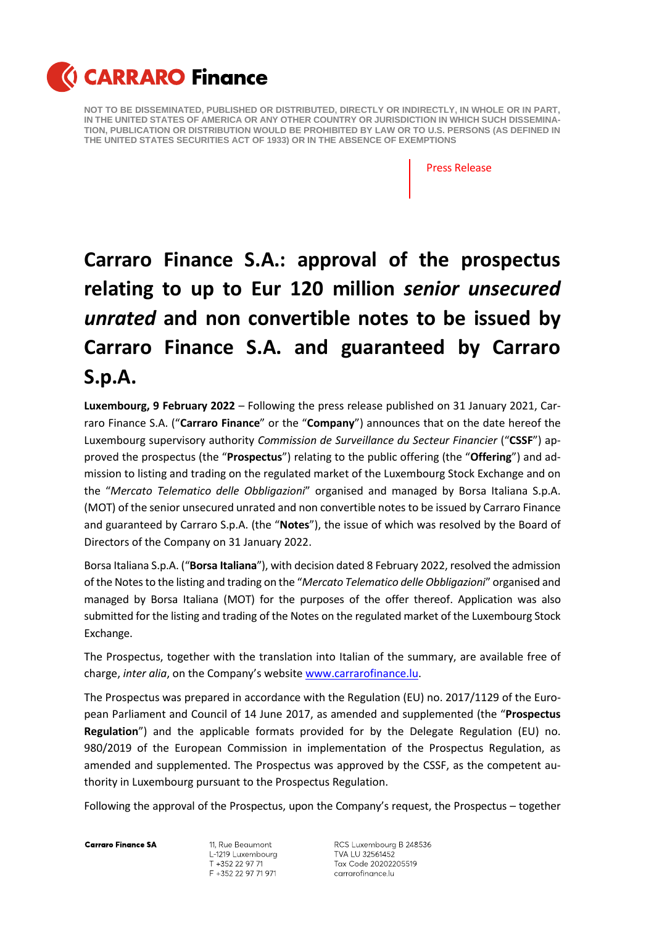

Press Release

## **Carraro Finance S.A.: approval of the prospectus relating to up to Eur 120 million** *senior unsecured unrated* **and non convertible notes to be issued by Carraro Finance S.A. and guaranteed by Carraro S.p.A.**

**Luxembourg, 9 February 2022** – Following the press release published on 31 January 2021, Carraro Finance S.A. ("**Carraro Finance**" or the "**Company**") announces that on the date hereof the Luxembourg supervisory authority *Commission de Surveillance du Secteur Financier* ("**CSSF**") approved the prospectus (the "**Prospectus**") relating to the public offering (the "**Offering**") and admission to listing and trading on the regulated market of the Luxembourg Stock Exchange and on the "*Mercato Telematico delle Obbligazioni*" organised and managed by Borsa Italiana S.p.A. (MOT) of the senior unsecured unrated and non convertible notes to be issued by Carraro Finance and guaranteed by Carraro S.p.A. (the "**Notes**"), the issue of which was resolved by the Board of Directors of the Company on 31 January 2022.

Borsa Italiana S.p.A. ("**Borsa Italiana**"), with decision dated 8 February 2022, resolved the admission of the Notes to the listing and trading on the "*Mercato Telematico delle Obbligazioni*" organised and managed by Borsa Italiana (MOT) for the purposes of the offer thereof. Application was also submitted for the listing and trading of the Notes on the regulated market of the Luxembourg Stock Exchange.

The Prospectus, together with the translation into Italian of the summary, are available free of charge, *inter alia*, on the Company's website [www.carrarofinance.lu.](http://www.carrarofinance.lu/)

The Prospectus was prepared in accordance with the Regulation (EU) no. 2017/1129 of the European Parliament and Council of 14 June 2017, as amended and supplemented (the "**Prospectus Regulation**") and the applicable formats provided for by the Delegate Regulation (EU) no. 980/2019 of the European Commission in implementation of the Prospectus Regulation, as amended and supplemented. The Prospectus was approved by the CSSF, as the competent authority in Luxembourg pursuant to the Prospectus Regulation.

Following the approval of the Prospectus, upon the Company's request, the Prospectus – together

**Carraro Finance SA** 

11, Rue Beaumont L-1219 Luxembourg T +352 22 97 71 F +352 22 97 71 971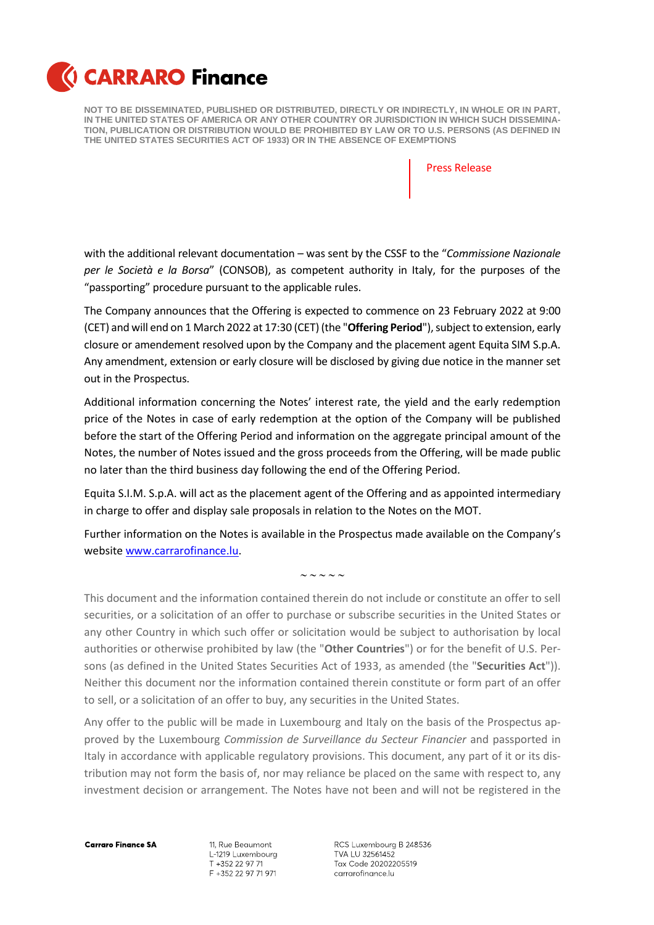

Press Release

with the additional relevant documentation – was sent by the CSSF to the "*Commissione Nazionale per le Società e la Borsa*" (CONSOB), as competent authority in Italy, for the purposes of the "passporting" procedure pursuant to the applicable rules.

The Company announces that the Offering is expected to commence on 23 February 2022 at 9:00 (CET) and will end on 1 March 2022 at 17:30 (CET) (the "**Offering Period**"), subject to extension, early closure or amendement resolved upon by the Company and the placement agent Equita SIM S.p.A. Any amendment, extension or early closure will be disclosed by giving due notice in the manner set out in the Prospectus.

Additional information concerning the Notes' interest rate, the yield and the early redemption price of the Notes in case of early redemption at the option of the Company will be published before the start of the Offering Period and information on the aggregate principal amount of the Notes, the number of Notes issued and the gross proceeds from the Offering, will be made public no later than the third business day following the end of the Offering Period.

Equita S.I.M. S.p.A. will act as the placement agent of the Offering and as appointed intermediary in charge to offer and display sale proposals in relation to the Notes on the MOT.

Further information on the Notes is available in the Prospectus made available on the Company's website [www.carrarofinance.lu.](http://www.carrarofinance.lu/)

 $\sim$   $\sim$   $\sim$   $\sim$ 

This document and the information contained therein do not include or constitute an offer to sell securities, or a solicitation of an offer to purchase or subscribe securities in the United States or any other Country in which such offer or solicitation would be subject to authorisation by local authorities or otherwise prohibited by law (the "**Other Countries**") or for the benefit of U.S. Persons (as defined in the United States Securities Act of 1933, as amended (the "**Securities Act**")). Neither this document nor the information contained therein constitute or form part of an offer to sell, or a solicitation of an offer to buy, any securities in the United States.

Any offer to the public will be made in Luxembourg and Italy on the basis of the Prospectus approved by the Luxembourg *Commission de Surveillance du Secteur Financier* and passported in Italy in accordance with applicable regulatory provisions. This document, any part of it or its distribution may not form the basis of, nor may reliance be placed on the same with respect to, any investment decision or arrangement. The Notes have not been and will not be registered in the

**Carraro Finance SA** 

11, Rue Beaumont L-1219 Luxembourg T +352 22 97 71 F +352 22 97 71 971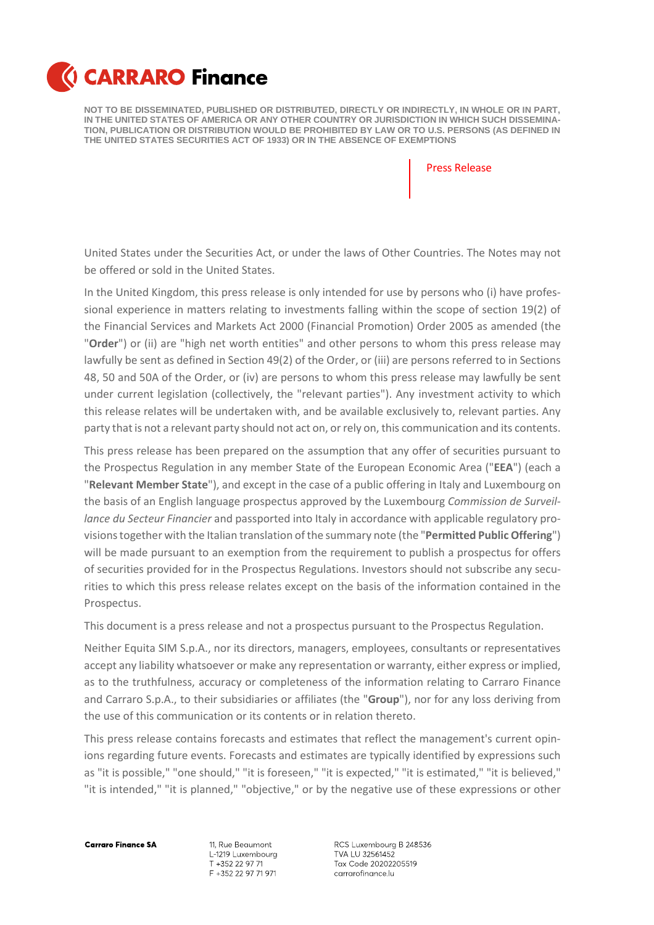

Press Release

United States under the Securities Act, or under the laws of Other Countries. The Notes may not be offered or sold in the United States.

In the United Kingdom, this press release is only intended for use by persons who (i) have professional experience in matters relating to investments falling within the scope of section 19(2) of the Financial Services and Markets Act 2000 (Financial Promotion) Order 2005 as amended (the "**Order**") or (ii) are "high net worth entities" and other persons to whom this press release may lawfully be sent as defined in Section 49(2) of the Order, or (iii) are persons referred to in Sections 48, 50 and 50A of the Order, or (iv) are persons to whom this press release may lawfully be sent under current legislation (collectively, the "relevant parties"). Any investment activity to which this release relates will be undertaken with, and be available exclusively to, relevant parties. Any party that is not a relevant party should not act on, or rely on, this communication and its contents.

This press release has been prepared on the assumption that any offer of securities pursuant to the Prospectus Regulation in any member State of the European Economic Area ("**EEA**") (each a "**Relevant Member State**"), and except in the case of a public offering in Italy and Luxembourg on the basis of an English language prospectus approved by the Luxembourg *Commission de Surveillance du Secteur Financier* and passported into Italy in accordance with applicable regulatory provisionstogether with the Italian translation of the summary note (the "**Permitted Public Offering**") will be made pursuant to an exemption from the requirement to publish a prospectus for offers of securities provided for in the Prospectus Regulations. Investors should not subscribe any securities to which this press release relates except on the basis of the information contained in the Prospectus.

This document is a press release and not a prospectus pursuant to the Prospectus Regulation.

Neither Equita SIM S.p.A., nor its directors, managers, employees, consultants or representatives accept any liability whatsoever or make any representation or warranty, either express or implied, as to the truthfulness, accuracy or completeness of the information relating to Carraro Finance and Carraro S.p.A., to their subsidiaries or affiliates (the "**Group**"), nor for any loss deriving from the use of this communication or its contents or in relation thereto.

This press release contains forecasts and estimates that reflect the management's current opinions regarding future events. Forecasts and estimates are typically identified by expressions such as "it is possible," "one should," "it is foreseen," "it is expected," "it is estimated," "it is believed," "it is intended," "it is planned," "objective," or by the negative use of these expressions or other

**Carraro Finance SA** 

11, Rue Beaumont L-1219 Luxembourg T +352 22 97 71 F +352 22 97 71 971